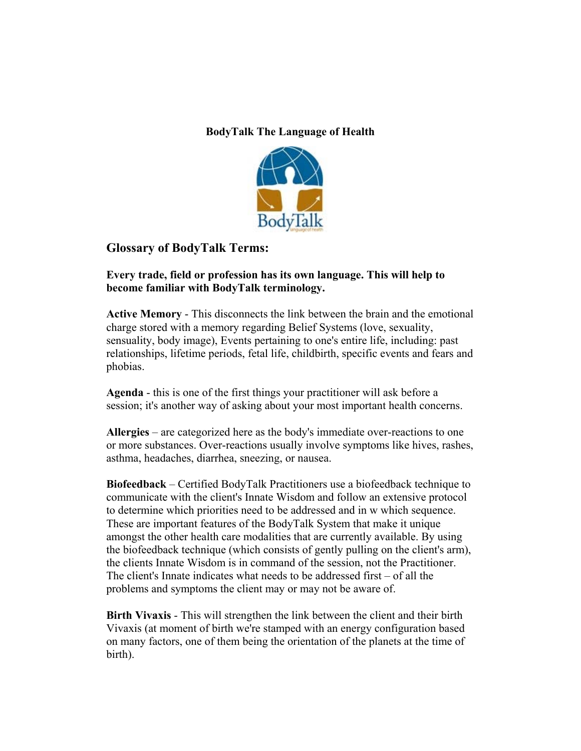## **BodyTalk The Language of Health**



## **Glossary of BodyTalk Terms:**

## **Every trade, field or profession has its own language. This will help to become familiar with BodyTalk terminology.**

**Active Memory** - This disconnects the link between the brain and the emotional charge stored with a memory regarding Belief Systems (love, sexuality, sensuality, body image), Events pertaining to one's entire life, including: past relationships, lifetime periods, fetal life, childbirth, specific events and fears and phobias.

**Agenda** - this is one of the first things your practitioner will ask before a session; it's another way of asking about your most important health concerns.

**Allergies** – are categorized here as the body's immediate over-reactions to one or more substances. Over-reactions usually involve symptoms like hives, rashes, asthma, headaches, diarrhea, sneezing, or nausea.

**Biofeedback** – Certified BodyTalk Practitioners use a biofeedback technique to communicate with the client's Innate Wisdom and follow an extensive protocol to determine which priorities need to be addressed and in w which sequence. These are important features of the BodyTalk System that make it unique amongst the other health care modalities that are currently available. By using the biofeedback technique (which consists of gently pulling on the client's arm), the clients Innate Wisdom is in command of the session, not the Practitioner. The client's Innate indicates what needs to be addressed first – of all the problems and symptoms the client may or may not be aware of.

**Birth Vivaxis** - This will strengthen the link between the client and their birth Vivaxis (at moment of birth we're stamped with an energy configuration based on many factors, one of them being the orientation of the planets at the time of birth).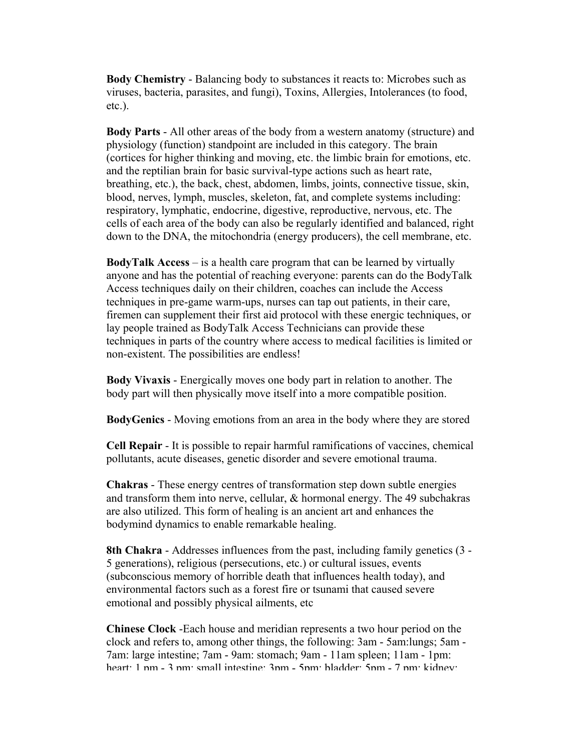**Body Chemistry** - Balancing body to substances it reacts to: Microbes such as viruses, bacteria, parasites, and fungi), Toxins, Allergies, Intolerances (to food, etc.).

**Body Parts** - All other areas of the body from a western anatomy (structure) and physiology (function) standpoint are included in this category. The brain (cortices for higher thinking and moving, etc. the limbic brain for emotions, etc. and the reptilian brain for basic survival-type actions such as heart rate, breathing, etc.), the back, chest, abdomen, limbs, joints, connective tissue, skin, blood, nerves, lymph, muscles, skeleton, fat, and complete systems including: respiratory, lymphatic, endocrine, digestive, reproductive, nervous, etc. The cells of each area of the body can also be regularly identified and balanced, right down to the DNA, the mitochondria (energy producers), the cell membrane, etc.

**BodyTalk Access** – is a health care program that can be learned by virtually anyone and has the potential of reaching everyone: parents can do the BodyTalk Access techniques daily on their children, coaches can include the Access techniques in pre-game warm-ups, nurses can tap out patients, in their care, firemen can supplement their first aid protocol with these energic techniques, or lay people trained as BodyTalk Access Technicians can provide these techniques in parts of the country where access to medical facilities is limited or non-existent. The possibilities are endless!

**Body Vivaxis** - Energically moves one body part in relation to another. The body part will then physically move itself into a more compatible position.

**BodyGenics** - Moving emotions from an area in the body where they are stored

**Cell Repair** - It is possible to repair harmful ramifications of vaccines, chemical pollutants, acute diseases, genetic disorder and severe emotional trauma.

**Chakras** - These energy centres of transformation step down subtle energies and transform them into nerve, cellular, & hormonal energy. The 49 subchakras are also utilized. This form of healing is an ancient art and enhances the bodymind dynamics to enable remarkable healing.

**8th Chakra** - Addresses influences from the past, including family genetics (3 - 5 generations), religious (persecutions, etc.) or cultural issues, events (subconscious memory of horrible death that influences health today), and environmental factors such as a forest fire or tsunami that caused severe emotional and possibly physical ailments, etc

**Chinese Clock** -Each house and meridian represents a two hour period on the clock and refers to, among other things, the following: 3am - 5am:lungs; 5am - 7am: large intestine; 7am - 9am: stomach; 9am - 11am spleen; 11am - 1pm: heart: 1 nm - 3 nm; small intestine; 3nm - 5nm; hladder; 5nm - 7 nm; kidney;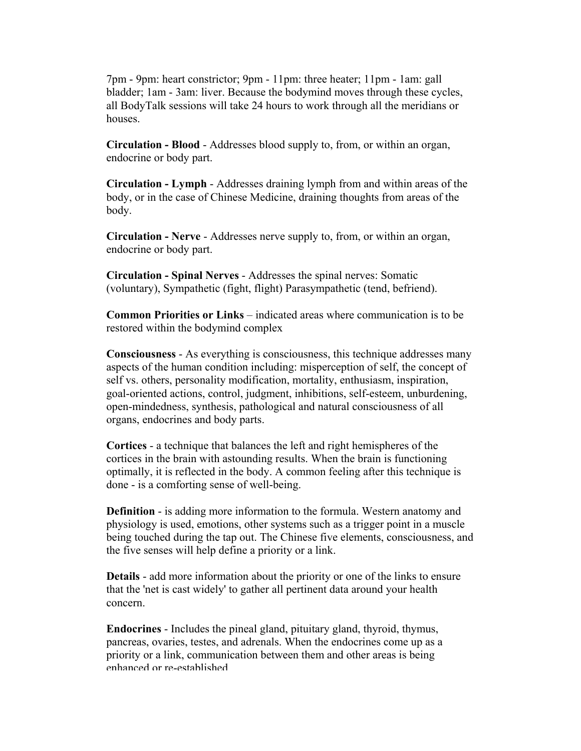7pm - 9pm: heart constrictor; 9pm - 11pm: three heater; 11pm - 1am: gall bladder; 1am - 3am: liver. Because the bodymind moves through these cycles, all BodyTalk sessions will take 24 hours to work through all the meridians or houses.

**Circulation - Blood** - Addresses blood supply to, from, or within an organ, endocrine or body part.

**Circulation - Lymph** - Addresses draining lymph from and within areas of the body, or in the case of Chinese Medicine, draining thoughts from areas of the body.

**Circulation - Nerve** - Addresses nerve supply to, from, or within an organ, endocrine or body part.

**Circulation - Spinal Nerves** - Addresses the spinal nerves: Somatic (voluntary), Sympathetic (fight, flight) Parasympathetic (tend, befriend).

**Common Priorities or Links** – indicated areas where communication is to be restored within the bodymind complex

**Consciousness** - As everything is consciousness, this technique addresses many aspects of the human condition including: misperception of self, the concept of self vs. others, personality modification, mortality, enthusiasm, inspiration, goal-oriented actions, control, judgment, inhibitions, self-esteem, unburdening, open-mindedness, synthesis, pathological and natural consciousness of all organs, endocrines and body parts.

**Cortices** - a technique that balances the left and right hemispheres of the cortices in the brain with astounding results. When the brain is functioning optimally, it is reflected in the body. A common feeling after this technique is done - is a comforting sense of well-being.

**Definition** - is adding more information to the formula. Western anatomy and physiology is used, emotions, other systems such as a trigger point in a muscle being touched during the tap out. The Chinese five elements, consciousness, and the five senses will help define a priority or a link.

**Details** - add more information about the priority or one of the links to ensure that the 'net is cast widely' to gather all pertinent data around your health concern.

**Endocrines** - Includes the pineal gland, pituitary gland, thyroid, thymus, pancreas, ovaries, testes, and adrenals. When the endocrines come up as a priority or a link, communication between them and other areas is being enhanced or re-established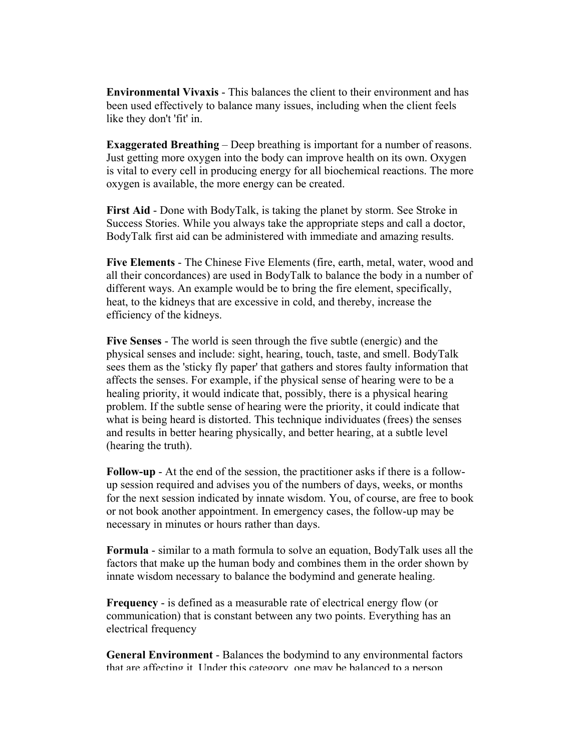**Environmental Vivaxis** - This balances the client to their environment and has been used effectively to balance many issues, including when the client feels like they don't 'fit' in.

**Exaggerated Breathing** – Deep breathing is important for a number of reasons. Just getting more oxygen into the body can improve health on its own. Oxygen is vital to every cell in producing energy for all biochemical reactions. The more oxygen is available, the more energy can be created.

**First Aid** - Done with BodyTalk, is taking the planet by storm. See Stroke in Success Stories. While you always take the appropriate steps and call a doctor, BodyTalk first aid can be administered with immediate and amazing results.

**Five Elements** - The Chinese Five Elements (fire, earth, metal, water, wood and all their concordances) are used in BodyTalk to balance the body in a number of different ways. An example would be to bring the fire element, specifically, heat, to the kidneys that are excessive in cold, and thereby, increase the efficiency of the kidneys.

**Five Senses** - The world is seen through the five subtle (energic) and the physical senses and include: sight, hearing, touch, taste, and smell. BodyTalk sees them as the 'sticky fly paper' that gathers and stores faulty information that affects the senses. For example, if the physical sense of hearing were to be a healing priority, it would indicate that, possibly, there is a physical hearing problem. If the subtle sense of hearing were the priority, it could indicate that what is being heard is distorted. This technique individuates (frees) the senses and results in better hearing physically, and better hearing, at a subtle level (hearing the truth).

**Follow-up** - At the end of the session, the practitioner asks if there is a followup session required and advises you of the numbers of days, weeks, or months for the next session indicated by innate wisdom. You, of course, are free to book or not book another appointment. In emergency cases, the follow-up may be necessary in minutes or hours rather than days.

**Formula** - similar to a math formula to solve an equation, BodyTalk uses all the factors that make up the human body and combines them in the order shown by innate wisdom necessary to balance the bodymind and generate healing.

**Frequency** - is defined as a measurable rate of electrical energy flow (or communication) that is constant between any two points. Everything has an electrical frequency

**General Environment** - Balances the bodymind to any environmental factors that are affecting it. Under this category one may be balanced to a person.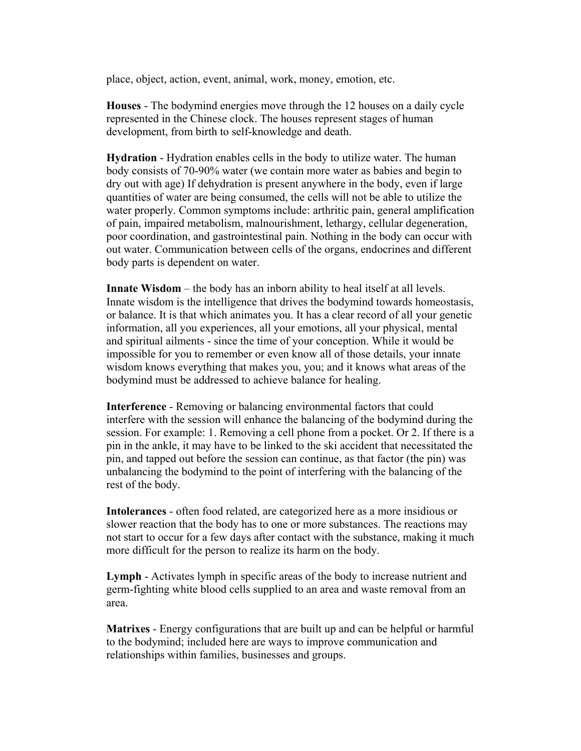place, object, action, event, animal, work, money, emotion, etc.

**Houses** - The bodymind energies move through the 12 houses on a daily cycle represented in the Chinese clock. The houses represent stages of human development, from birth to self-knowledge and death.

**Hydration** - Hydration enables cells in the body to utilize water. The human body consists of 70-90% water (we contain more water as babies and begin to dry out with age) If dehydration is present anywhere in the body, even if large quantities of water are being consumed, the cells will not be able to utilize the water properly. Common symptoms include: arthritic pain, general amplification of pain, impaired metabolism, malnourishment, lethargy, cellular degeneration, poor coordination, and gastrointestinal pain. Nothing in the body can occur with out water. Communication between cells of the organs, endocrines and different body parts is dependent on water.

**Innate Wisdom** – the body has an inborn ability to heal itself at all levels. Innate wisdom is the intelligence that drives the bodymind towards homeostasis, or balance. It is that which animates you. It has a clear record of all your genetic information, all you experiences, all your emotions, all your physical, mental and spiritual ailments - since the time of your conception. While it would be impossible for you to remember or even know all of those details, your innate wisdom knows everything that makes you, you; and it knows what areas of the bodymind must be addressed to achieve balance for healing.

**Interference** - Removing or balancing environmental factors that could interfere with the session will enhance the balancing of the bodymind during the session. For example: 1. Removing a cell phone from a pocket. Or 2. If there is a pin in the ankle, it may have to be linked to the ski accident that necessitated the pin, and tapped out before the session can continue, as that factor (the pin) was unbalancing the bodymind to the point of interfering with the balancing of the rest of the body.

**Intolerances** - often food related, are categorized here as a more insidious or slower reaction that the body has to one or more substances. The reactions may not start to occur for a few days after contact with the substance, making it much more difficult for the person to realize its harm on the body.

**Lymph** - Activates lymph in specific areas of the body to increase nutrient and germ-fighting white blood cells supplied to an area and waste removal from an area.

**Matrixes** - Energy configurations that are built up and can be helpful or harmful to the bodymind; included here are ways to improve communication and relationships within families, businesses and groups.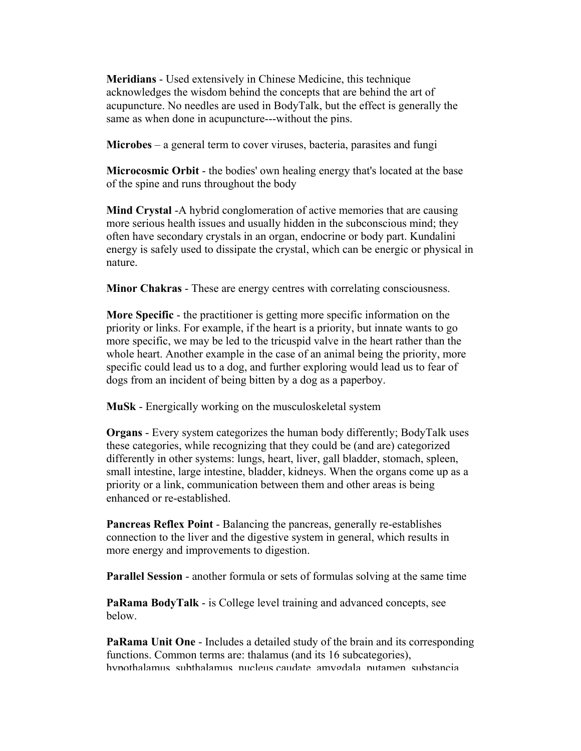**Meridians** - Used extensively in Chinese Medicine, this technique acknowledges the wisdom behind the concepts that are behind the art of acupuncture. No needles are used in BodyTalk, but the effect is generally the same as when done in acupuncture---without the pins.

**Microbes** – a general term to cover viruses, bacteria, parasites and fungi

**Microcosmic Orbit** - the bodies' own healing energy that's located at the base of the spine and runs throughout the body

**Mind Crystal** -A hybrid conglomeration of active memories that are causing more serious health issues and usually hidden in the subconscious mind; they often have secondary crystals in an organ, endocrine or body part. Kundalini energy is safely used to dissipate the crystal, which can be energic or physical in nature.

**Minor Chakras** - These are energy centres with correlating consciousness.

**More Specific** - the practitioner is getting more specific information on the priority or links. For example, if the heart is a priority, but innate wants to go more specific, we may be led to the tricuspid valve in the heart rather than the whole heart. Another example in the case of an animal being the priority, more specific could lead us to a dog, and further exploring would lead us to fear of dogs from an incident of being bitten by a dog as a paperboy.

**MuSk** - Energically working on the musculoskeletal system

**Organs** - Every system categorizes the human body differently; BodyTalk uses these categories, while recognizing that they could be (and are) categorized differently in other systems: lungs, heart, liver, gall bladder, stomach, spleen, small intestine, large intestine, bladder, kidneys. When the organs come up as a priority or a link, communication between them and other areas is being enhanced or re-established.

**Pancreas Reflex Point** - Balancing the pancreas, generally re-establishes connection to the liver and the digestive system in general, which results in more energy and improvements to digestion.

**Parallel Session** - another formula or sets of formulas solving at the same time

**PaRama BodyTalk** - is College level training and advanced concepts, see below.

**PaRama Unit One** - Includes a detailed study of the brain and its corresponding functions. Common terms are: thalamus (and its 16 subcategories), hypothalamus subthalamus nucleus caudate amygdala putamen substancia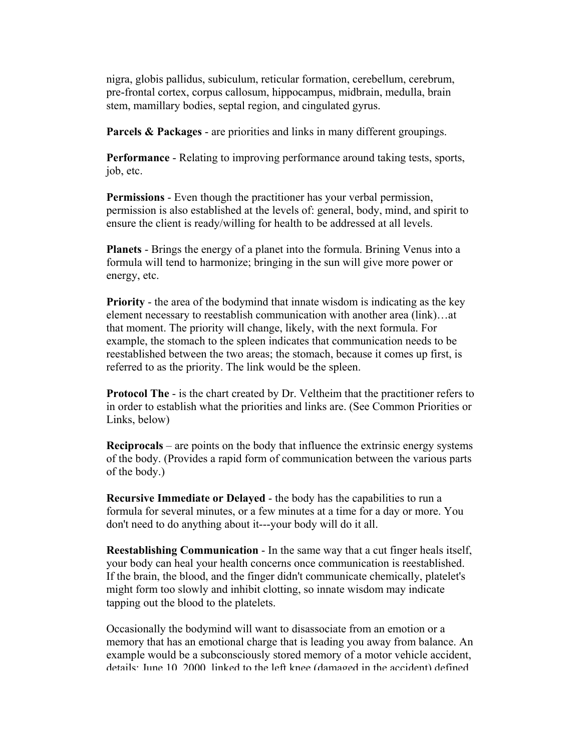nigra, globis pallidus, subiculum, reticular formation, cerebellum, cerebrum, pre-frontal cortex, corpus callosum, hippocampus, midbrain, medulla, brain stem, mamillary bodies, septal region, and cingulated gyrus.

**Parcels & Packages** - are priorities and links in many different groupings.

**Performance** - Relating to improving performance around taking tests, sports, job, etc.

**Permissions** - Even though the practitioner has your verbal permission, permission is also established at the levels of: general, body, mind, and spirit to ensure the client is ready/willing for health to be addressed at all levels.

**Planets** - Brings the energy of a planet into the formula. Brining Venus into a formula will tend to harmonize; bringing in the sun will give more power or energy, etc.

**Priority** - the area of the bodymind that innate wisdom is indicating as the key element necessary to reestablish communication with another area (link)…at that moment. The priority will change, likely, with the next formula. For example, the stomach to the spleen indicates that communication needs to be reestablished between the two areas; the stomach, because it comes up first, is referred to as the priority. The link would be the spleen.

**Protocol The** - is the chart created by Dr. Veltheim that the practitioner refers to in order to establish what the priorities and links are. (See Common Priorities or Links, below)

**Reciprocals** – are points on the body that influence the extrinsic energy systems of the body. (Provides a rapid form of communication between the various parts of the body.)

**Recursive Immediate or Delayed** - the body has the capabilities to run a formula for several minutes, or a few minutes at a time for a day or more. You don't need to do anything about it---your body will do it all.

**Reestablishing Communication** - In the same way that a cut finger heals itself, your body can heal your health concerns once communication is reestablished. If the brain, the blood, and the finger didn't communicate chemically, platelet's might form too slowly and inhibit clotting, so innate wisdom may indicate tapping out the blood to the platelets.

Occasionally the bodymind will want to disassociate from an emotion or a memory that has an emotional charge that is leading you away from balance. An example would be a subconsciously stored memory of a motor vehicle accident, details: June 10 2000 linked to the left knee (damaged in the accident) defined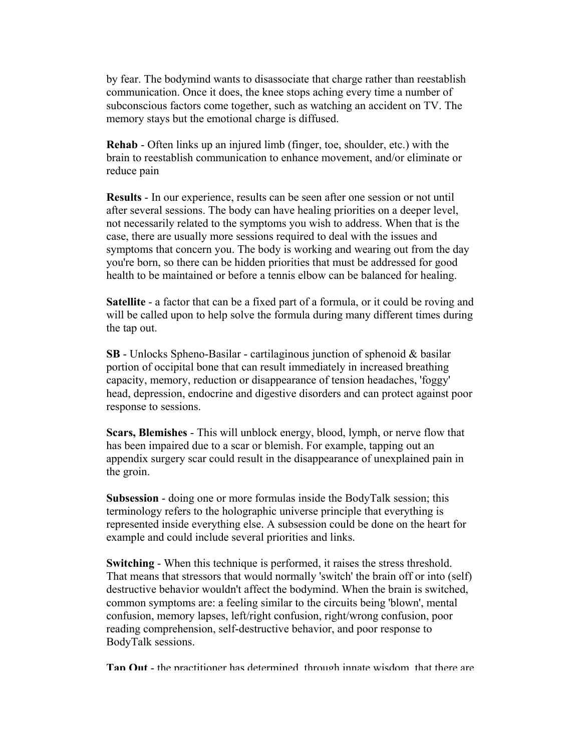by fear. The bodymind wants to disassociate that charge rather than reestablish communication. Once it does, the knee stops aching every time a number of subconscious factors come together, such as watching an accident on TV. The memory stays but the emotional charge is diffused.

**Rehab** - Often links up an injured limb (finger, toe, shoulder, etc.) with the brain to reestablish communication to enhance movement, and/or eliminate or reduce pain

**Results** - In our experience, results can be seen after one session or not until after several sessions. The body can have healing priorities on a deeper level, not necessarily related to the symptoms you wish to address. When that is the case, there are usually more sessions required to deal with the issues and symptoms that concern you. The body is working and wearing out from the day you're born, so there can be hidden priorities that must be addressed for good health to be maintained or before a tennis elbow can be balanced for healing.

**Satellite** - a factor that can be a fixed part of a formula, or it could be roving and will be called upon to help solve the formula during many different times during the tap out.

**SB** - Unlocks Spheno-Basilar - cartilaginous junction of sphenoid & basilar portion of occipital bone that can result immediately in increased breathing capacity, memory, reduction or disappearance of tension headaches, 'foggy' head, depression, endocrine and digestive disorders and can protect against poor response to sessions.

**Scars, Blemishes** - This will unblock energy, blood, lymph, or nerve flow that has been impaired due to a scar or blemish. For example, tapping out an appendix surgery scar could result in the disappearance of unexplained pain in the groin.

**Subsession** - doing one or more formulas inside the BodyTalk session; this terminology refers to the holographic universe principle that everything is represented inside everything else. A subsession could be done on the heart for example and could include several priorities and links.

**Switching** - When this technique is performed, it raises the stress threshold. That means that stressors that would normally 'switch' the brain off or into (self) destructive behavior wouldn't affect the bodymind. When the brain is switched, common symptoms are: a feeling similar to the circuits being 'blown', mental confusion, memory lapses, left/right confusion, right/wrong confusion, poor reading comprehension, self-destructive behavior, and poor response to BodyTalk sessions.

**Tap Out** - the practitioner has determined through innate wisdom that there are